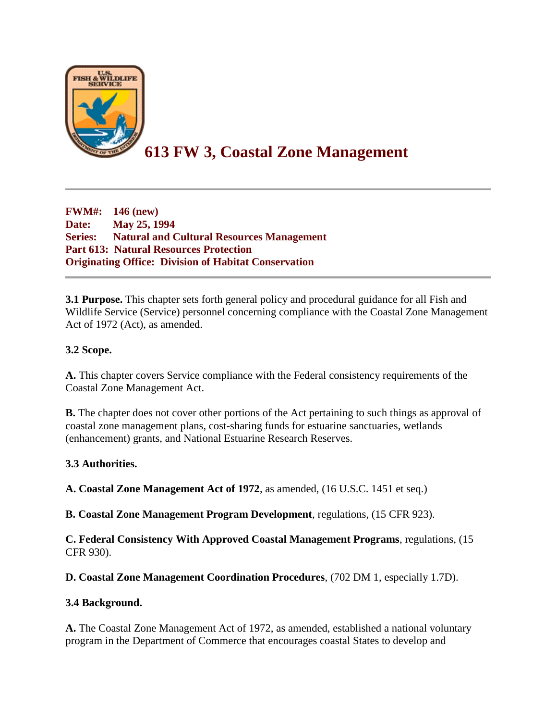

# **613 FW 3, Coastal Zone Management**

**FWM#: 146 (new) Date: May 25, 1994 Series: Natural and Cultural Resources Management Part 613: Natural Resources Protection Originating Office: Division of Habitat Conservation**

**3.1 Purpose.** This chapter sets forth general policy and procedural guidance for all Fish and Wildlife Service (Service) personnel concerning compliance with the Coastal Zone Management Act of 1972 (Act), as amended.

# **3.2 Scope.**

**A.** This chapter covers Service compliance with the Federal consistency requirements of the Coastal Zone Management Act.

**B.** The chapter does not cover other portions of the Act pertaining to such things as approval of coastal zone management plans, cost-sharing funds for estuarine sanctuaries, wetlands (enhancement) grants, and National Estuarine Research Reserves.

#### **3.3 Authorities.**

**A. Coastal Zone Management Act of 1972**, as amended, (16 U.S.C. 1451 et seq.)

**B. Coastal Zone Management Program Development**, regulations, (15 CFR 923).

**C. Federal Consistency With Approved Coastal Management Programs**, regulations, (15 CFR 930).

**D. Coastal Zone Management Coordination Procedures**, (702 DM 1, especially 1.7D).

#### **3.4 Background.**

**A.** The Coastal Zone Management Act of 1972, as amended, established a national voluntary program in the Department of Commerce that encourages coastal States to develop and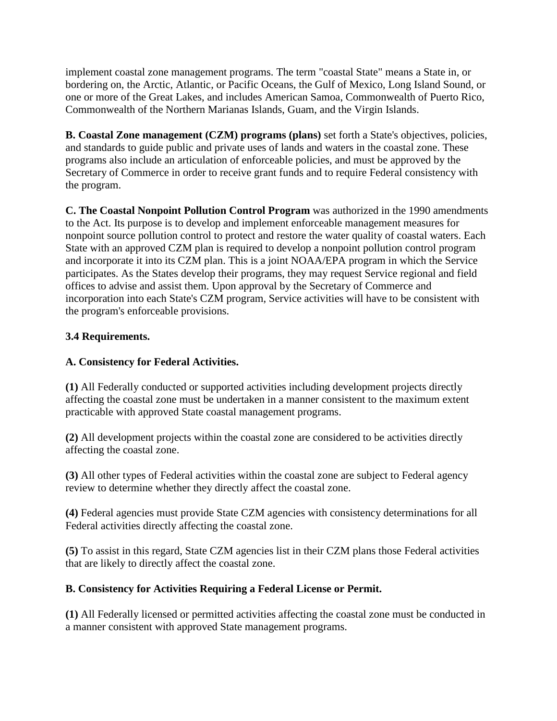implement coastal zone management programs. The term "coastal State" means a State in, or bordering on, the Arctic, Atlantic, or Pacific Oceans, the Gulf of Mexico, Long Island Sound, or one or more of the Great Lakes, and includes American Samoa, Commonwealth of Puerto Rico, Commonwealth of the Northern Marianas Islands, Guam, and the Virgin Islands.

**B. Coastal Zone management (CZM) programs (plans)** set forth a State's objectives, policies, and standards to guide public and private uses of lands and waters in the coastal zone. These programs also include an articulation of enforceable policies, and must be approved by the Secretary of Commerce in order to receive grant funds and to require Federal consistency with the program.

**C. The Coastal Nonpoint Pollution Control Program** was authorized in the 1990 amendments to the Act. Its purpose is to develop and implement enforceable management measures for nonpoint source pollution control to protect and restore the water quality of coastal waters. Each State with an approved CZM plan is required to develop a nonpoint pollution control program and incorporate it into its CZM plan. This is a joint NOAA/EPA program in which the Service participates. As the States develop their programs, they may request Service regional and field offices to advise and assist them. Upon approval by the Secretary of Commerce and incorporation into each State's CZM program, Service activities will have to be consistent with the program's enforceable provisions.

# **3.4 Requirements.**

#### **A. Consistency for Federal Activities.**

**(1)** All Federally conducted or supported activities including development projects directly affecting the coastal zone must be undertaken in a manner consistent to the maximum extent practicable with approved State coastal management programs.

**(2)** All development projects within the coastal zone are considered to be activities directly affecting the coastal zone.

**(3)** All other types of Federal activities within the coastal zone are subject to Federal agency review to determine whether they directly affect the coastal zone.

**(4)** Federal agencies must provide State CZM agencies with consistency determinations for all Federal activities directly affecting the coastal zone.

**(5)** To assist in this regard, State CZM agencies list in their CZM plans those Federal activities that are likely to directly affect the coastal zone.

#### **B. Consistency for Activities Requiring a Federal License or Permit.**

**(1)** All Federally licensed or permitted activities affecting the coastal zone must be conducted in a manner consistent with approved State management programs.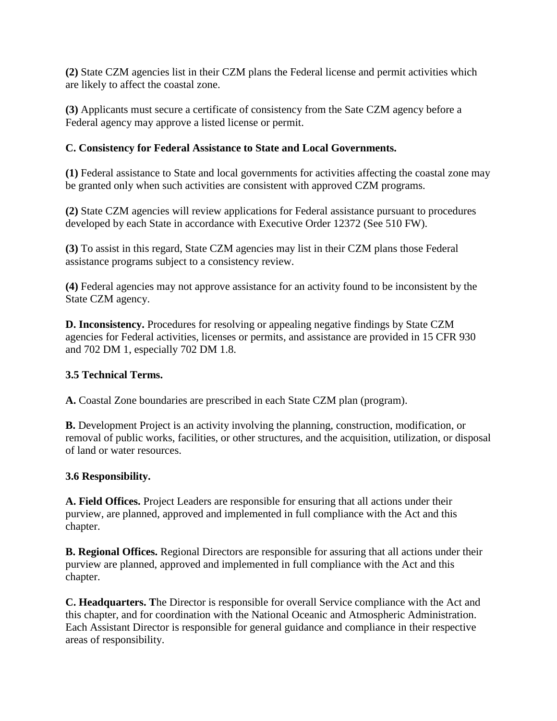**(2)** State CZM agencies list in their CZM plans the Federal license and permit activities which are likely to affect the coastal zone.

**(3)** Applicants must secure a certificate of consistency from the Sate CZM agency before a Federal agency may approve a listed license or permit.

### **C. Consistency for Federal Assistance to State and Local Governments.**

**(1)** Federal assistance to State and local governments for activities affecting the coastal zone may be granted only when such activities are consistent with approved CZM programs.

**(2)** State CZM agencies will review applications for Federal assistance pursuant to procedures developed by each State in accordance with Executive Order 12372 (See 510 FW).

**(3)** To assist in this regard, State CZM agencies may list in their CZM plans those Federal assistance programs subject to a consistency review.

**(4)** Federal agencies may not approve assistance for an activity found to be inconsistent by the State CZM agency.

**D. Inconsistency.** Procedures for resolving or appealing negative findings by State CZM agencies for Federal activities, licenses or permits, and assistance are provided in 15 CFR 930 and 702 DM 1, especially 702 DM 1.8.

#### **3.5 Technical Terms.**

**A.** Coastal Zone boundaries are prescribed in each State CZM plan (program).

**B.** Development Project is an activity involving the planning, construction, modification, or removal of public works, facilities, or other structures, and the acquisition, utilization, or disposal of land or water resources.

#### **3.6 Responsibility.**

**A. Field Offices.** Project Leaders are responsible for ensuring that all actions under their purview, are planned, approved and implemented in full compliance with the Act and this chapter.

**B. Regional Offices.** Regional Directors are responsible for assuring that all actions under their purview are planned, approved and implemented in full compliance with the Act and this chapter.

**C. Headquarters. T**he Director is responsible for overall Service compliance with the Act and this chapter, and for coordination with the National Oceanic and Atmospheric Administration. Each Assistant Director is responsible for general guidance and compliance in their respective areas of responsibility.